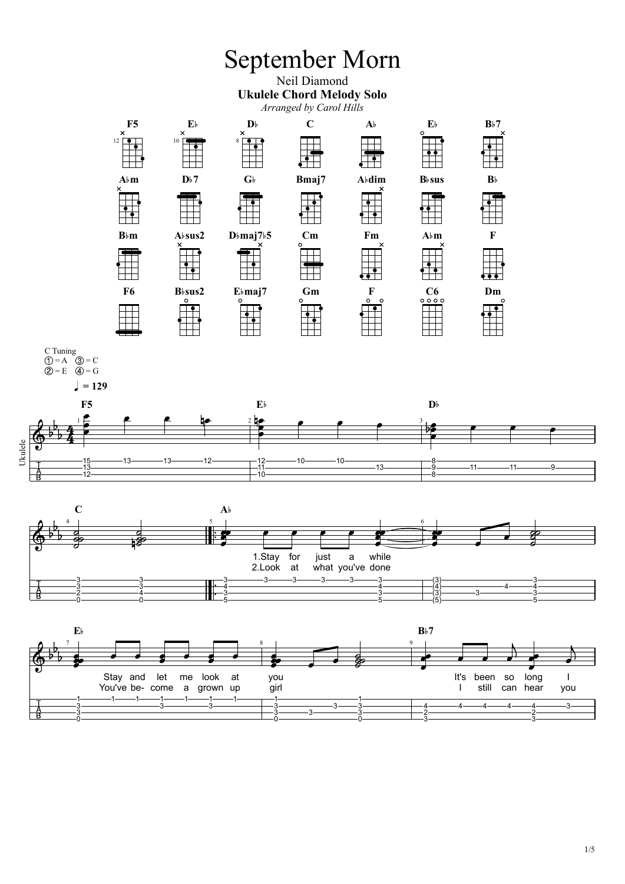## September Morn

## Neil Diamond **Ukulele Chord Melody Solo**

*Arranged by Carol Hills*



Ukulele

 $\frac{A}{B}$ 



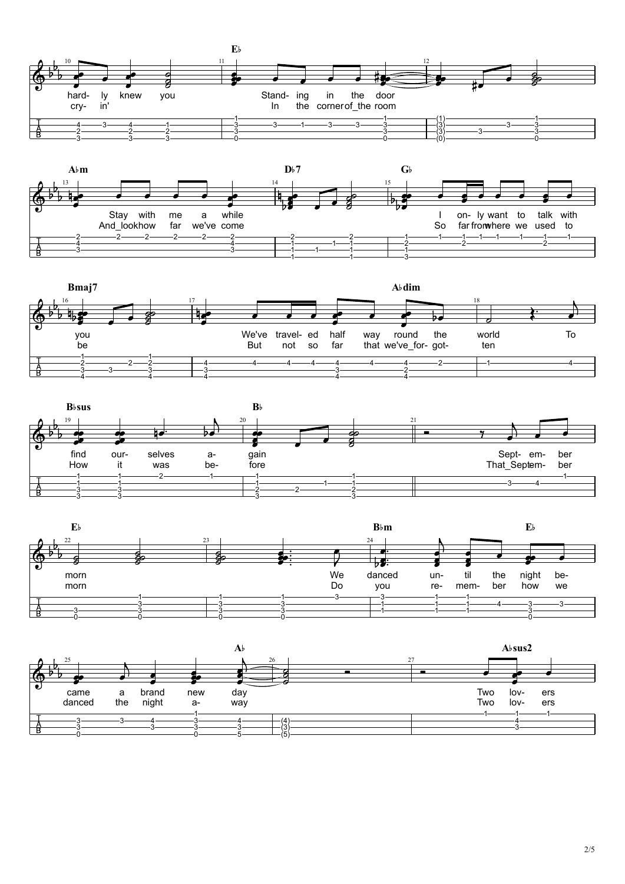









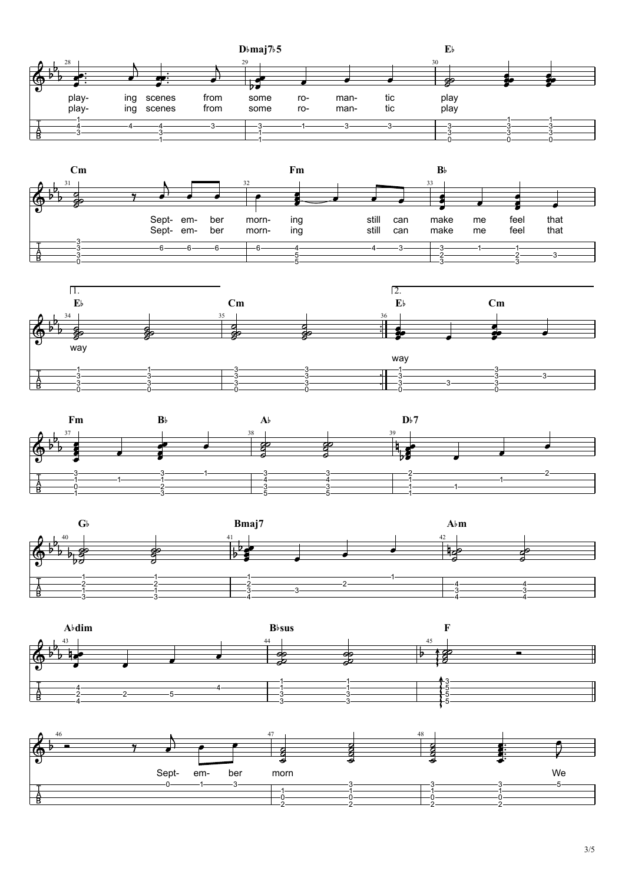3/5













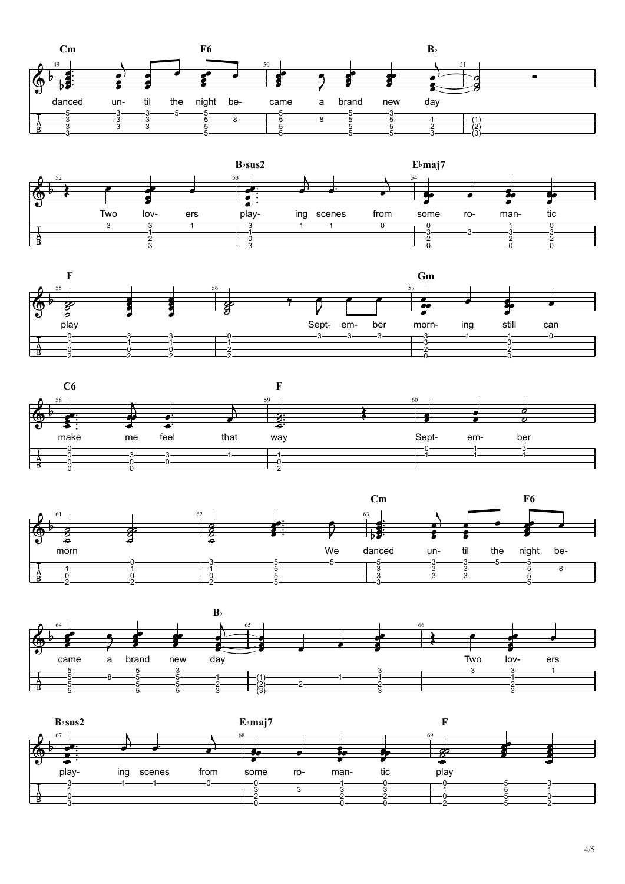









**B**